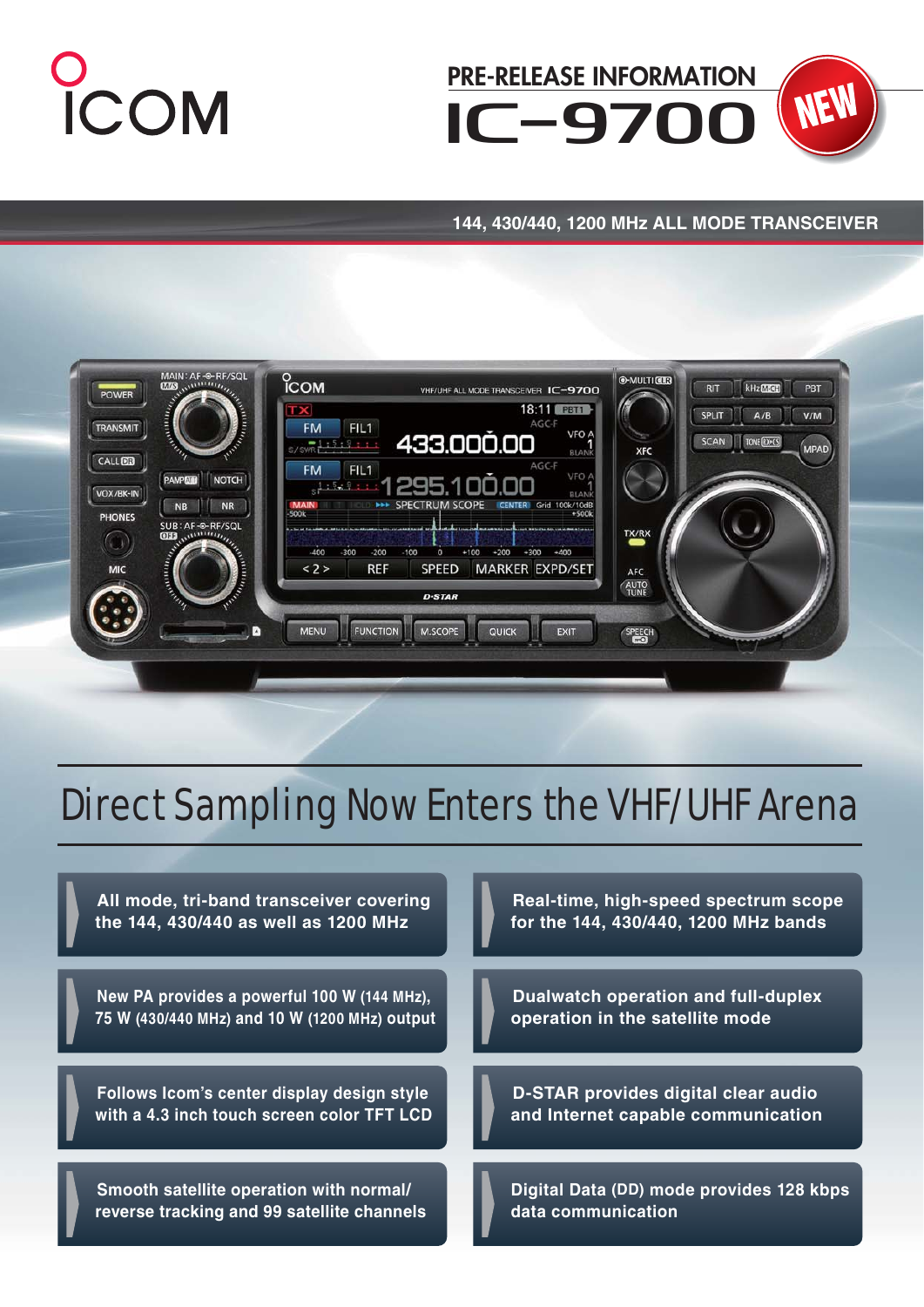



## **144, 430/440, 1200 MHz ALL MODE TRANSCEIVER**



# Direct Sampling Now Enters the VHF/UHF Arena

**All mode, tri-band transceiver covering the 144, 430/440 as well as 1200 MHz**

**New PA provides a powerful 100 W (144 MHz), 75 W (430/440 MHz) and 10 W (1200 MHz) output**

**Follows Icom's center display design style with a 4.3 inch touch screen color TFT LCD**

**Smooth satellite operation with normal/ reverse tracking and 99 satellite channels**

**Real-time, high-speed spectrum scope for the 144, 430/440, 1200 MHz bands**

**Dualwatch operation and full-duplex operation in the satellite mode**

**D-STAR provides digital clear audio and Internet capable communication**

**Digital Data (DD) mode provides 128 kbps data communication**